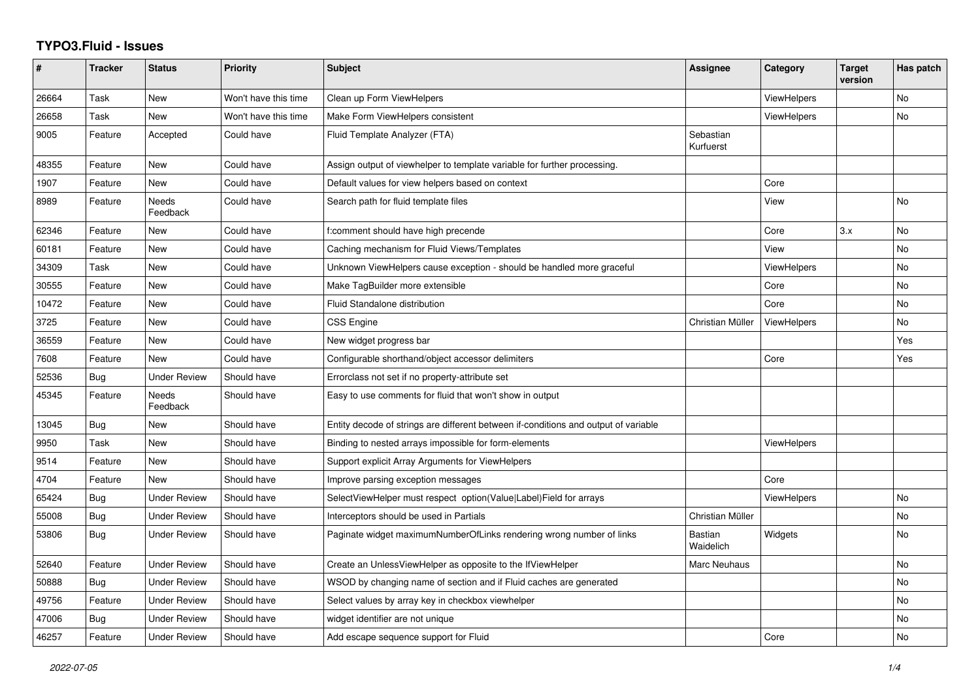## **TYPO3.Fluid - Issues**

| $\sharp$ | <b>Tracker</b> | <b>Status</b>       | <b>Priority</b>      | <b>Subject</b>                                                                      | Assignee                    | Category           | <b>Target</b><br>version | Has patch |
|----------|----------------|---------------------|----------------------|-------------------------------------------------------------------------------------|-----------------------------|--------------------|--------------------------|-----------|
| 26664    | Task           | New                 | Won't have this time | Clean up Form ViewHelpers                                                           |                             | <b>ViewHelpers</b> |                          | No        |
| 26658    | Task           | <b>New</b>          | Won't have this time | Make Form ViewHelpers consistent                                                    |                             | <b>ViewHelpers</b> |                          | <b>No</b> |
| 9005     | Feature        | Accepted            | Could have           | Fluid Template Analyzer (FTA)                                                       | Sebastian<br>Kurfuerst      |                    |                          |           |
| 48355    | Feature        | New                 | Could have           | Assign output of viewhelper to template variable for further processing.            |                             |                    |                          |           |
| 1907     | Feature        | <b>New</b>          | Could have           | Default values for view helpers based on context                                    |                             | Core               |                          |           |
| 8989     | Feature        | Needs<br>Feedback   | Could have           | Search path for fluid template files                                                |                             | View               |                          | <b>No</b> |
| 62346    | Feature        | New                 | Could have           | f:comment should have high precende                                                 |                             | Core               | 3.x                      | <b>No</b> |
| 60181    | Feature        | New                 | Could have           | Caching mechanism for Fluid Views/Templates                                         |                             | View               |                          | No        |
| 34309    | Task           | <b>New</b>          | Could have           | Unknown ViewHelpers cause exception - should be handled more graceful               |                             | <b>ViewHelpers</b> |                          | <b>No</b> |
| 30555    | Feature        | New                 | Could have           | Make TagBuilder more extensible                                                     |                             | Core               |                          | No        |
| 10472    | Feature        | New                 | Could have           | <b>Fluid Standalone distribution</b>                                                |                             | Core               |                          | No        |
| 3725     | Feature        | New                 | Could have           | CSS Engine                                                                          | Christian Müller            | ViewHelpers        |                          | No        |
| 36559    | Feature        | <b>New</b>          | Could have           | New widget progress bar                                                             |                             |                    |                          | Yes       |
| 7608     | Feature        | New                 | Could have           | Configurable shorthand/object accessor delimiters                                   |                             | Core               |                          | Yes       |
| 52536    | Bug            | <b>Under Review</b> | Should have          | Errorclass not set if no property-attribute set                                     |                             |                    |                          |           |
| 45345    | Feature        | Needs<br>Feedback   | Should have          | Easy to use comments for fluid that won't show in output                            |                             |                    |                          |           |
| 13045    | Bug            | New                 | Should have          | Entity decode of strings are different between if-conditions and output of variable |                             |                    |                          |           |
| 9950     | Task           | <b>New</b>          | Should have          | Binding to nested arrays impossible for form-elements                               |                             | <b>ViewHelpers</b> |                          |           |
| 9514     | Feature        | New                 | Should have          | Support explicit Array Arguments for ViewHelpers                                    |                             |                    |                          |           |
| 4704     | Feature        | <b>New</b>          | Should have          | Improve parsing exception messages                                                  |                             | Core               |                          |           |
| 65424    | Bug            | <b>Under Review</b> | Should have          | SelectViewHelper must respect option(Value Label)Field for arrays                   |                             | <b>ViewHelpers</b> |                          | No        |
| 55008    | Bug            | Under Review        | Should have          | Interceptors should be used in Partials                                             | Christian Müller            |                    |                          | <b>No</b> |
| 53806    | Bug            | <b>Under Review</b> | Should have          | Paginate widget maximumNumberOfLinks rendering wrong number of links                | <b>Bastian</b><br>Waidelich | Widgets            |                          | No        |
| 52640    | Feature        | <b>Under Review</b> | Should have          | Create an UnlessViewHelper as opposite to the IfViewHelper                          | Marc Neuhaus                |                    |                          | <b>No</b> |
| 50888    | Bug            | <b>Under Review</b> | Should have          | WSOD by changing name of section and if Fluid caches are generated                  |                             |                    |                          | No        |
| 49756    | Feature        | <b>Under Review</b> | Should have          | Select values by array key in checkbox viewhelper                                   |                             |                    |                          | No        |
| 47006    | Bug            | <b>Under Review</b> | Should have          | widget identifier are not unique                                                    |                             |                    |                          | No        |
| 46257    | Feature        | <b>Under Review</b> | Should have          | Add escape sequence support for Fluid                                               |                             | Core               |                          | <b>No</b> |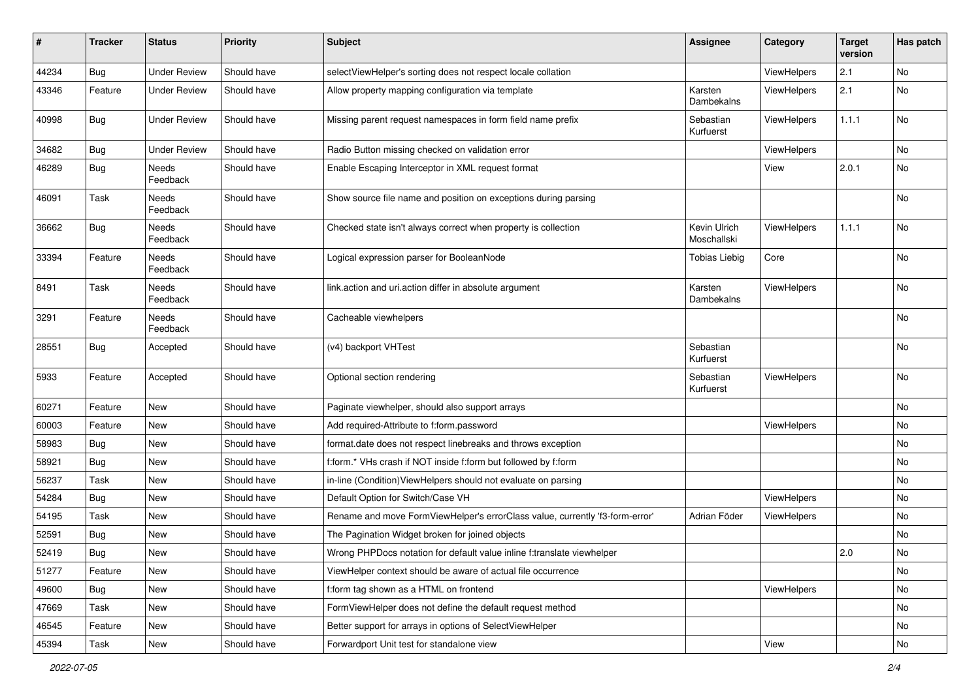| #     | <b>Tracker</b> | <b>Status</b>       | <b>Priority</b> | Subject                                                                      | <b>Assignee</b>             | Category           | <b>Target</b><br>version | Has patch |
|-------|----------------|---------------------|-----------------|------------------------------------------------------------------------------|-----------------------------|--------------------|--------------------------|-----------|
| 44234 | Bug            | <b>Under Review</b> | Should have     | selectViewHelper's sorting does not respect locale collation                 |                             | ViewHelpers        | 2.1                      | No        |
| 43346 | Feature        | Under Review        | Should have     | Allow property mapping configuration via template                            | Karsten<br>Dambekalns       | ViewHelpers        | 2.1                      | No        |
| 40998 | Bug            | <b>Under Review</b> | Should have     | Missing parent request namespaces in form field name prefix                  | Sebastian<br>Kurfuerst      | ViewHelpers        | 1.1.1                    | No        |
| 34682 | Bug            | <b>Under Review</b> | Should have     | Radio Button missing checked on validation error                             |                             | ViewHelpers        |                          | No        |
| 46289 | Bug            | Needs<br>Feedback   | Should have     | Enable Escaping Interceptor in XML request format                            |                             | View               | 2.0.1                    | No        |
| 46091 | Task           | Needs<br>Feedback   | Should have     | Show source file name and position on exceptions during parsing              |                             |                    |                          | No        |
| 36662 | Bug            | Needs<br>Feedback   | Should have     | Checked state isn't always correct when property is collection               | Kevin Ulrich<br>Moschallski | ViewHelpers        | 1.1.1                    | No        |
| 33394 | Feature        | Needs<br>Feedback   | Should have     | Logical expression parser for BooleanNode                                    | <b>Tobias Liebig</b>        | Core               |                          | No        |
| 8491  | Task           | Needs<br>Feedback   | Should have     | link.action and uri.action differ in absolute argument                       | Karsten<br>Dambekalns       | ViewHelpers        |                          | No        |
| 3291  | Feature        | Needs<br>Feedback   | Should have     | Cacheable viewhelpers                                                        |                             |                    |                          | No        |
| 28551 | Bug            | Accepted            | Should have     | (v4) backport VHTest                                                         | Sebastian<br>Kurfuerst      |                    |                          | No        |
| 5933  | Feature        | Accepted            | Should have     | Optional section rendering                                                   | Sebastian<br>Kurfuerst      | ViewHelpers        |                          | No        |
| 60271 | Feature        | New                 | Should have     | Paginate viewhelper, should also support arrays                              |                             |                    |                          | No        |
| 60003 | Feature        | New                 | Should have     | Add required-Attribute to f:form.password                                    |                             | ViewHelpers        |                          | No        |
| 58983 | Bug            | New                 | Should have     | format.date does not respect linebreaks and throws exception                 |                             |                    |                          | No        |
| 58921 | Bug            | New                 | Should have     | f:form.* VHs crash if NOT inside f:form but followed by f:form               |                             |                    |                          | No        |
| 56237 | Task           | New                 | Should have     | in-line (Condition) ViewHelpers should not evaluate on parsing               |                             |                    |                          | No        |
| 54284 | Bug            | New                 | Should have     | Default Option for Switch/Case VH                                            |                             | ViewHelpers        |                          | No        |
| 54195 | Task           | New                 | Should have     | Rename and move FormViewHelper's errorClass value, currently 'f3-form-error' | Adrian Föder                | <b>ViewHelpers</b> |                          | No        |
| 52591 | <b>Bug</b>     | New                 | Should have     | The Pagination Widget broken for joined objects                              |                             |                    |                          | No        |
| 52419 | i Bug          | New                 | Should have     | Wrong PHPDocs notation for default value inline f:translate viewhelper       |                             |                    | 2.0                      | No        |
| 51277 | Feature        | New                 | Should have     | ViewHelper context should be aware of actual file occurrence                 |                             |                    |                          | No        |
| 49600 | Bug            | New                 | Should have     | f:form tag shown as a HTML on frontend                                       |                             | ViewHelpers        |                          | No        |
| 47669 | Task           | New                 | Should have     | FormViewHelper does not define the default request method                    |                             |                    |                          | No        |
| 46545 | Feature        | New                 | Should have     | Better support for arrays in options of SelectViewHelper                     |                             |                    |                          | No        |
| 45394 | Task           | New                 | Should have     | Forwardport Unit test for standalone view                                    |                             | View               |                          | No        |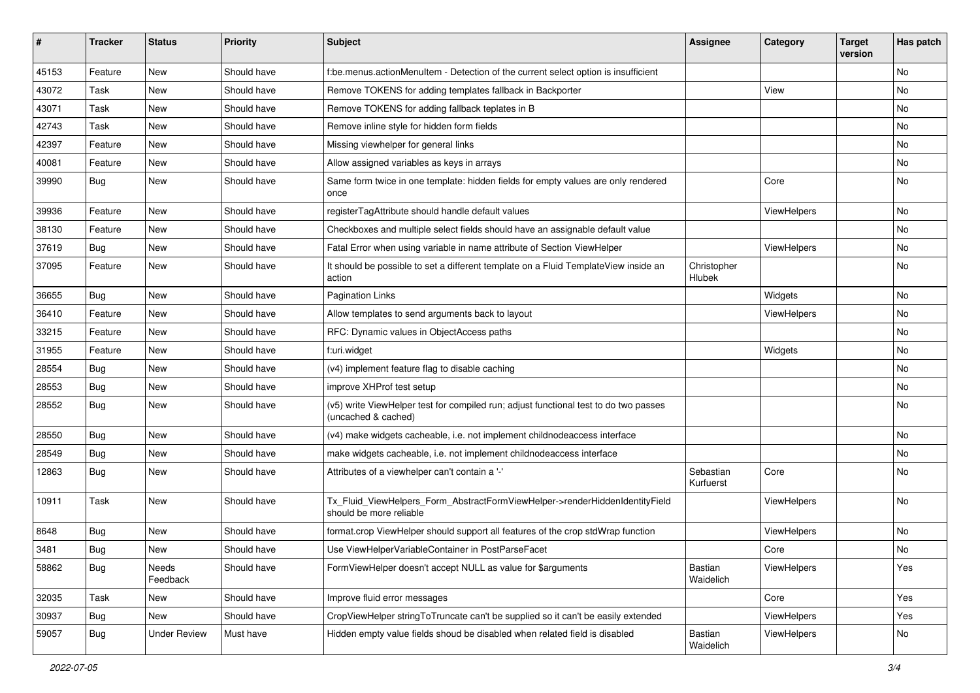| ∦     | <b>Tracker</b> | <b>Status</b>       | <b>Priority</b> | <b>Subject</b>                                                                                              | <b>Assignee</b>        | Category    | <b>Target</b><br>version | Has patch |
|-------|----------------|---------------------|-----------------|-------------------------------------------------------------------------------------------------------------|------------------------|-------------|--------------------------|-----------|
| 45153 | Feature        | New                 | Should have     | f:be.menus.actionMenuItem - Detection of the current select option is insufficient                          |                        |             |                          | <b>No</b> |
| 43072 | Task           | New                 | Should have     | Remove TOKENS for adding templates fallback in Backporter                                                   |                        | View        |                          | No        |
| 43071 | Task           | New                 | Should have     | Remove TOKENS for adding fallback teplates in B                                                             |                        |             |                          | No        |
| 42743 | Task           | New                 | Should have     | Remove inline style for hidden form fields                                                                  |                        |             |                          | No        |
| 42397 | Feature        | New                 | Should have     | Missing viewhelper for general links                                                                        |                        |             |                          | No        |
| 40081 | Feature        | New                 | Should have     | Allow assigned variables as keys in arrays                                                                  |                        |             |                          | No        |
| 39990 | Bug            | New                 | Should have     | Same form twice in one template: hidden fields for empty values are only rendered<br>once                   |                        | Core        |                          | No        |
| 39936 | Feature        | New                 | Should have     | registerTagAttribute should handle default values                                                           |                        | ViewHelpers |                          | No        |
| 38130 | Feature        | New                 | Should have     | Checkboxes and multiple select fields should have an assignable default value                               |                        |             |                          | No        |
| 37619 | <b>Bug</b>     | New                 | Should have     | Fatal Error when using variable in name attribute of Section ViewHelper                                     |                        | ViewHelpers |                          | <b>No</b> |
| 37095 | Feature        | New                 | Should have     | It should be possible to set a different template on a Fluid TemplateView inside an<br>action               | Christopher<br>Hlubek  |             |                          | No        |
| 36655 | Bug            | <b>New</b>          | Should have     | <b>Pagination Links</b>                                                                                     |                        | Widgets     |                          | <b>No</b> |
| 36410 | Feature        | New                 | Should have     | Allow templates to send arguments back to layout                                                            |                        | ViewHelpers |                          | No        |
| 33215 | Feature        | New                 | Should have     | RFC: Dynamic values in ObjectAccess paths                                                                   |                        |             |                          | No        |
| 31955 | Feature        | New                 | Should have     | f:uri.widget                                                                                                |                        | Widgets     |                          | <b>No</b> |
| 28554 | <b>Bug</b>     | New                 | Should have     | (v4) implement feature flag to disable caching                                                              |                        |             |                          | No        |
| 28553 | <b>Bug</b>     | New                 | Should have     | improve XHProf test setup                                                                                   |                        |             |                          | <b>No</b> |
| 28552 | Bug            | New                 | Should have     | (v5) write ViewHelper test for compiled run; adjust functional test to do two passes<br>(uncached & cached) |                        |             |                          | No        |
| 28550 | Bug            | New                 | Should have     | (v4) make widgets cacheable, i.e. not implement childnodeaccess interface                                   |                        |             |                          | No        |
| 28549 | Bug            | New                 | Should have     | make widgets cacheable, i.e. not implement childnodeaccess interface                                        |                        |             |                          | No        |
| 12863 | <b>Bug</b>     | New                 | Should have     | Attributes of a viewhelper can't contain a '-'                                                              | Sebastian<br>Kurfuerst | Core        |                          | No        |
| 10911 | Task           | New                 | Should have     | Tx_Fluid_ViewHelpers_Form_AbstractFormViewHelper->renderHiddenIdentityField<br>should be more reliable      |                        | ViewHelpers |                          | No        |
| 8648  | Bug            | New                 | Should have     | format.crop ViewHelper should support all features of the crop stdWrap function                             |                        | ViewHelpers |                          | No        |
| 3481  | Bug            | New                 | Should have     | Use ViewHelperVariableContainer in PostParseFacet                                                           |                        | Core        |                          | No        |
| 58862 | <b>Bug</b>     | Needs<br>Feedback   | Should have     | FormViewHelper doesn't accept NULL as value for \$arguments                                                 | Bastian<br>Waidelich   | ViewHelpers |                          | Yes       |
| 32035 | Task           | New                 | Should have     | Improve fluid error messages                                                                                |                        | Core        |                          | Yes       |
| 30937 | <b>Bug</b>     | New                 | Should have     | CropViewHelper stringToTruncate can't be supplied so it can't be easily extended                            |                        | ViewHelpers |                          | Yes       |
| 59057 | <b>Bug</b>     | <b>Under Review</b> | Must have       | Hidden empty value fields shoud be disabled when related field is disabled                                  | Bastian<br>Waidelich   | ViewHelpers |                          | No        |